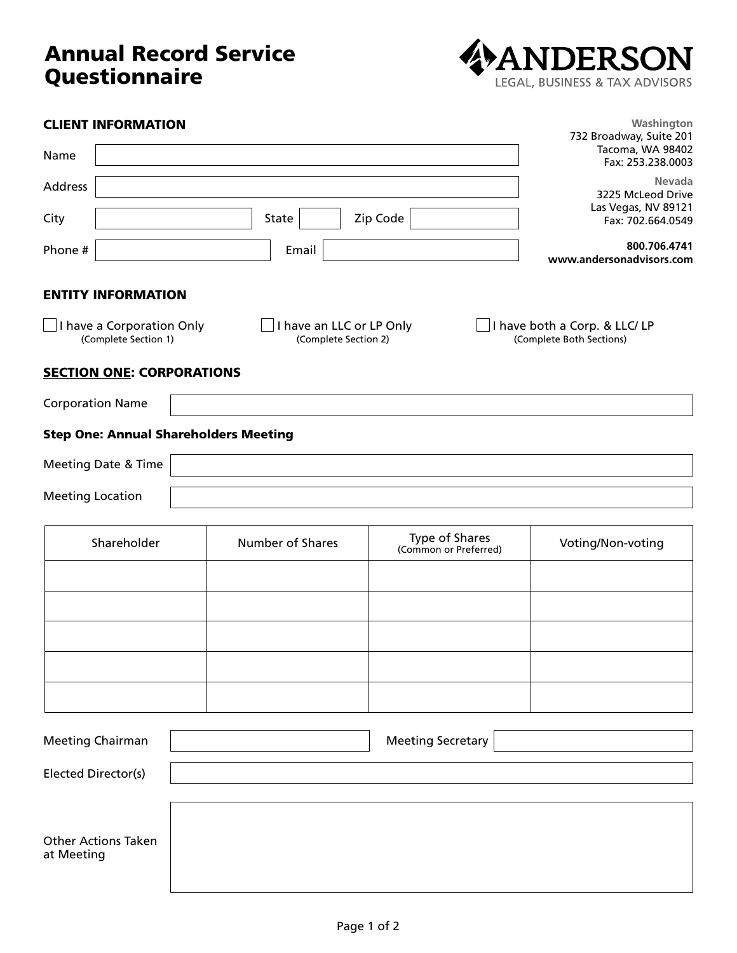## Annual Record Service Questionnaire



| <b>CLIENT INFORMATION</b>                                |                                                  |                                         | Washington<br>732 Broadway, Suite 201                     |
|----------------------------------------------------------|--------------------------------------------------|-----------------------------------------|-----------------------------------------------------------|
| Name                                                     |                                                  |                                         | Tacoma, WA 98402<br>Fax: 253.238.0003                     |
| Address                                                  |                                                  |                                         | <b>Nevada</b><br>3225 McLeod Drive                        |
| City                                                     | State                                            | Zip Code                                | Las Vegas, NV 89121<br>Fax: 702.664.0549                  |
| Phone #                                                  | Email                                            |                                         | 800.706.4741<br>www.andersonadvisors.com                  |
| <b>ENTITY INFORMATION</b>                                |                                                  |                                         |                                                           |
| $\Box$ I have a Corporation Only<br>(Complete Section 1) | I have an LLC or LP Only<br>(Complete Section 2) |                                         | I have both a Corp. & LLC/ LP<br>(Complete Both Sections) |
| <b>SECTION ONE: CORPORATIONS</b>                         |                                                  |                                         |                                                           |
| <b>Corporation Name</b>                                  |                                                  |                                         |                                                           |
| <b>Step One: Annual Shareholders Meeting</b>             |                                                  |                                         |                                                           |
| <b>Meeting Date &amp; Time</b>                           |                                                  |                                         |                                                           |
| <b>Meeting Location</b>                                  |                                                  |                                         |                                                           |
| Shareholder                                              | Number of Shares                                 | Type of Shares<br>(Common or Preferred) | Voting/Non-voting                                         |
|                                                          |                                                  |                                         |                                                           |
|                                                          |                                                  |                                         |                                                           |
|                                                          |                                                  |                                         |                                                           |
|                                                          |                                                  |                                         |                                                           |
|                                                          |                                                  |                                         |                                                           |
| <b>Meeting Chairman</b>                                  |                                                  | <b>Meeting Secretary</b>                |                                                           |
| Elected Director(s)                                      |                                                  |                                         |                                                           |
|                                                          |                                                  |                                         |                                                           |

Other Actions Taken at Meeting